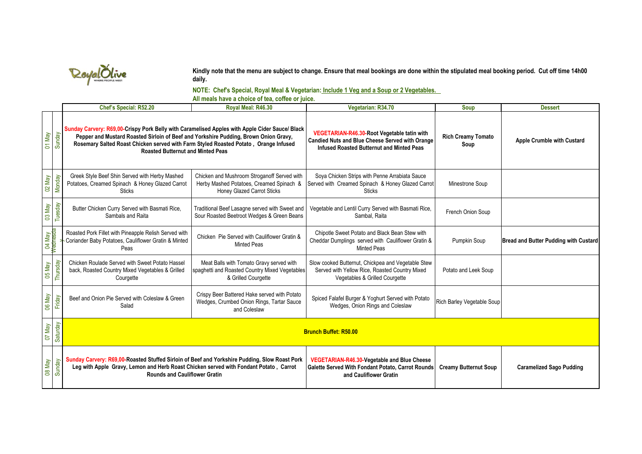

**Kindly note that the menu are subject to change. Ensure that meal bookings are done within the stipulated meal booking period. Cut off time 14h00 daily.**

**NOTE: Chef's Special, Royal Meal & Vegetarian: Include 1 Veg and a Soup or 2 Vegetables.** 

**All meals have a choice of tea, coffee or juice.**

|         |                    | Chef's Special: R52.20                                                                                                                                                                                                                                                                                                     | Royal Meal: R46.30                                                                                                    | Vegetarian: R34.70                                                                                                                                 | Soup                              | <b>Dessert</b>                               |
|---------|--------------------|----------------------------------------------------------------------------------------------------------------------------------------------------------------------------------------------------------------------------------------------------------------------------------------------------------------------------|-----------------------------------------------------------------------------------------------------------------------|----------------------------------------------------------------------------------------------------------------------------------------------------|-----------------------------------|----------------------------------------------|
| 01 May  | Sunday             | Sunday Carvery: R69,00-Crispy Pork Belly with Caramelised Apples with Apple Cider Sauce/ Black<br>Pepper and Mustard Roasted Sirloin of Beef and Yorkshire Pudding, Brown Onion Gravy,<br>Rosemary Salted Roast Chicken served with Farm Styled Roasted Potato, Orange Infused<br><b>Roasted Butternut and Minted Peas</b> |                                                                                                                       | VEGETARIAN-R46.30-Root Vegetable tatin with<br><b>Candied Nuts and Blue Cheese Served with Orange</b><br>Infused Roasted Butternut and Minted Peas | <b>Rich Creamy Tomato</b><br>Soup | <b>Apple Crumble with Custard</b>            |
| 02 May  | Monday             | Greek Style Beef Shin Served with Herby Mashed<br>Potatoes, Creamed Spinach & Honey Glazed Carrot<br><b>Sticks</b>                                                                                                                                                                                                         | Chicken and Mushroom Stroganoff Served with<br>Herby Mashed Potatoes, Creamed Spinach &<br>Honey Glazed Carrot Sticks | Soya Chicken Strips with Penne Arrabiata Sauce<br>Served with Creamed Spinach & Honey Glazed Carrot<br><b>Sticks</b>                               | Minestrone Soup                   |                                              |
| 03 May  | Tuesday            | Butter Chicken Curry Served with Basmati Rice,<br>Sambals and Raita                                                                                                                                                                                                                                                        | Traditional Beef Lasagne served with Sweet and<br>Sour Roasted Beetroot Wedges & Green Beans                          | Vegetable and Lentil Curry Served with Basmati Rice,<br>Sambal, Raita                                                                              | French Onion Soup                 |                                              |
|         | 04 May<br>Wednesda | Roasted Pork Fillet with Pineapple Relish Served with<br>Coriander Baby Potatoes, Cauliflower Gratin & Minted<br>Peas                                                                                                                                                                                                      | Chicken Pie Served with Cauliflower Gratin &<br><b>Minted Peas</b>                                                    | Chipotle Sweet Potato and Black Bean Stew with<br>Cheddar Dumplings served with Cauliflower Gratin &<br><b>Minted Peas</b>                         | Pumpkin Soup                      | <b>Bread and Butter Pudding with Custard</b> |
| O5 May  | Thursday           | Chicken Roulade Served with Sweet Potato Hassel<br>back, Roasted Country Mixed Vegetables & Grilled<br>Courgette                                                                                                                                                                                                           | Meat Balls with Tomato Gravy served with<br>spaghetti and Roasted Country Mixed Vegetables<br>& Grilled Courgette     | Slow cooked Butternut, Chickpea and Vegetable Stew<br>Served with Yellow Rice, Roasted Country Mixed<br>Vegetables & Grilled Courgette             | Potato and Leek Soup              |                                              |
| O6 May  | Friday             | Beef and Onion Pie Served with Coleslaw & Green<br>Salad                                                                                                                                                                                                                                                                   | Crispy Beer Battered Hake served with Potato<br>Wedges, Crumbed Onion Rings, Tartar Sauce<br>and Coleslaw             | Spiced Falafel Burger & Yoghurt Served with Potato<br>Wedges, Onion Rings and Coleslaw                                                             | Rich Barley Vegetable Soup        |                                              |
| Vely 70 | Saturday           | <b>Brunch Buffet: R50.00</b>                                                                                                                                                                                                                                                                                               |                                                                                                                       |                                                                                                                                                    |                                   |                                              |
| O8 May  | Sunday             | Sunday Carvery: R69,00-Roasted Stuffed Sirloin of Beef and Yorkshire Pudding, Slow Roast Pork<br>Leg with Apple Gravy, Lemon and Herb Roast Chicken served with Fondant Potato, Carrot<br><b>Rounds and Cauliflower Gratin</b>                                                                                             |                                                                                                                       | VEGETARIAN-R46.30-Vegetable and Blue Cheese<br>Galette Served With Fondant Potato, Carrot Rounds<br>and Cauliflower Gratin                         | <b>Creamy Butternut Soup</b>      | <b>Caramelized Sago Pudding</b>              |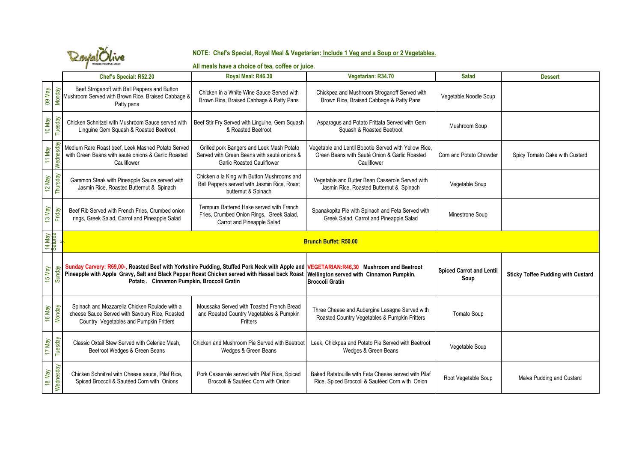

## **NOTE: Chef's Special, Royal Meal & Vegetarian: Include 1 Veg and a Soup or 2 Vegetables.**

## **All meals have a choice of tea, coffee or juice.**

|        |                   | Chef's Special: R52.20                                                                                                                                                                                                                                                                                                        | Royal Meal: R46.30                                                                                                            | Vegetarian: R34.70                                                                                                    | <b>Salad</b>                            | <b>Dessert</b>                            |
|--------|-------------------|-------------------------------------------------------------------------------------------------------------------------------------------------------------------------------------------------------------------------------------------------------------------------------------------------------------------------------|-------------------------------------------------------------------------------------------------------------------------------|-----------------------------------------------------------------------------------------------------------------------|-----------------------------------------|-------------------------------------------|
| 09 May | <b>Monday</b>     | Beef Stroganoff with Bell Peppers and Button<br>Mushroom Served with Brown Rice, Braised Cabbage &<br>Patty pans                                                                                                                                                                                                              | Chicken in a White Wine Sauce Served with<br>Brown Rice, Braised Cabbage & Patty Pans                                         | Chickpea and Mushroom Stroganoff Served with<br>Brown Rice, Braised Cabbage & Patty Pans                              | Vegetable Noodle Soup                   |                                           |
| 10 May | Tuesday           | Chicken Schnitzel with Mushroom Sauce served with<br>Linguine Gem Squash & Roasted Beetroot                                                                                                                                                                                                                                   | Beef Stir Fry Served with Linguine, Gem Squash<br>& Roasted Beetroot                                                          | Asparagus and Potato Frittata Served with Gem<br>Squash & Roasted Beetroot                                            | Mushroom Soup                           |                                           |
| 11 May | Wednesday         | Medium Rare Roast beef, Leek Mashed Potato Served<br>with Green Beans with sauté onions & Garlic Roasted<br>Cauliflower                                                                                                                                                                                                       | Grilled pork Bangers and Leek Mash Potato<br>Served with Green Beans with sauté onions &<br><b>Garlic Roasted Cauliflower</b> | Vegetable and Lentil Bobotie Served with Yellow Rice,<br>Green Beans with Sauté Onion & Garlic Roasted<br>Cauliflower | Corn and Potato Chowder                 | Spicy Tomato Cake with Custard            |
| 12 May | Thursday          | Gammon Steak with Pineapple Sauce served with<br>Jasmin Rice, Roasted Butternut & Spinach                                                                                                                                                                                                                                     | Chicken a la King with Button Mushrooms and<br>Bell Peppers served with Jasmin Rice, Roast<br>butternut & Spinach             | Vegetable and Butter Bean Casserole Served with<br>Jasmin Rice, Roasted Butternut & Spinach                           | Vegetable Soup                          |                                           |
| 13 May | Friday            | Beef Rib Served with French Fries, Crumbed onion<br>rings, Greek Salad, Carrot and Pineapple Salad                                                                                                                                                                                                                            | Tempura Battered Hake served with French<br>Fries, Crumbed Onion Rings, Greek Salad,<br>Carrot and Pineapple Salad            | Spanakopita Pie with Spinach and Feta Served with<br>Greek Salad, Carrot and Pineapple Salad                          | Minestrone Soup                         |                                           |
|        | 14 May<br>Saturda | <b>Brunch Buffet: R50.00</b>                                                                                                                                                                                                                                                                                                  |                                                                                                                               |                                                                                                                       |                                         |                                           |
| 15 May | Sunday            | Sunday Carvery: R69,00-, Roasted Beef with Yorkshire Pudding, Stuffed Pork Neck with Apple and VEGETARIAN:R46,30 Mushroom and Beetroot<br>Pineapple with Apple Gravy, Salt and Black Pepper Roast Chicken served with Hassel back Roast Wellington served with Cinnamon Pumpkin,<br>Potato, Cinnamon Pumpkin, Broccoli Gratin |                                                                                                                               | <b>Broccoli Gratin</b>                                                                                                | <b>Spiced Carrot and Lentil</b><br>Soup | <b>Sticky Toffee Pudding with Custard</b> |
| 16 May | Monday            | Spinach and Mozzarella Chicken Roulade with a<br>cheese Sauce Served with Savoury Rice, Roasted<br>Country Vegetables and Pumpkin Fritters                                                                                                                                                                                    | Moussaka Served with Toasted French Bread<br>and Roasted Country Vegetables & Pumpkin<br>Fritters                             | Three Cheese and Aubergine Lasagne Served with<br>Roasted Country Vegetables & Pumpkin Fritters                       | Tomato Soup                             |                                           |
| 17 May | Tuesday           | Classic Oxtail Stew Served with Celeriac Mash.<br>Beetroot Wedges & Green Beans                                                                                                                                                                                                                                               | Chicken and Mushroom Pie Served with Beetroot<br>Wedges & Green Beans                                                         | Leek, Chickpea and Potato Pie Served with Beetroot<br>Wedges & Green Beans                                            | Vegetable Soup                          |                                           |
| 18 May | Wednesday         | Chicken Schnitzel with Cheese sauce, Pilaf Rice,<br>Spiced Broccoli & Sautéed Corn with Onions                                                                                                                                                                                                                                | Pork Casserole served with Pilaf Rice, Spiced<br>Broccoli & Sautéed Corn with Onion                                           | Baked Ratatouille with Feta Cheese served with Pilaf<br>Rice, Spiced Broccoli & Sautéed Corn with Onion               | Root Vegetable Soup                     | Malva Pudding and Custard                 |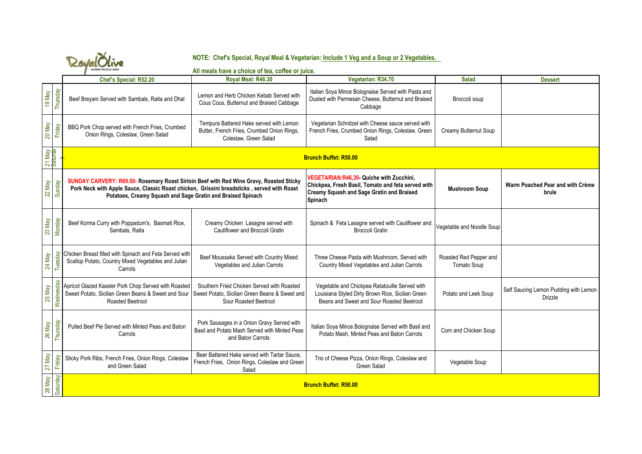| <b>IERE PEOPLE MEET</b> |
|-------------------------|

## **NOTE: Chef's Special, Royal Meal & Vegetarian: Include 1 Veg and a Soup or 2 Vegetables.**

|                   | KonalUuve<br>WHERE PEOPLE MEET<br>All meals have a choice of tea, coffee or juice. |                                                                                                                                                                                                                                                      |                                                                                                                       |                                                                                                                                                               |                                       |                                                         |  |
|-------------------|------------------------------------------------------------------------------------|------------------------------------------------------------------------------------------------------------------------------------------------------------------------------------------------------------------------------------------------------|-----------------------------------------------------------------------------------------------------------------------|---------------------------------------------------------------------------------------------------------------------------------------------------------------|---------------------------------------|---------------------------------------------------------|--|
|                   |                                                                                    | Chef's Special: R52.20                                                                                                                                                                                                                               | Royal Meal: R46.30                                                                                                    | Vegetarian: R34.70                                                                                                                                            | <b>Salad</b>                          | <b>Dessert</b>                                          |  |
| 19 May            | Thursday                                                                           | Beef Breyani Served with Sambals, Raita and Dhal                                                                                                                                                                                                     | Lemon and Herb Chicken Kebab Served with<br>Cous Cous, Butternut and Braised Cabbage                                  | Italian Soya Mince Bolognaise Served with Pasta and<br>Dusted with Parmesan Cheese, Butternut and Braised<br>Cabbage                                          | Broccoli soup                         |                                                         |  |
| 20 May            | Friday                                                                             | BBQ Pork Chop served with French Fries, Crumbed<br>Onion Rings, Coleslaw, Green Salad                                                                                                                                                                | Tempura Battered Hake served with Lemon<br>Butter, French Fries, Crumbed Onion Rings,<br>Coleslaw, Green Salad        | Vegetarian Schnitzel with Cheese sauce served with<br>French Fries, Crumbed Onion Rings, Coleslaw, Green<br>Salad                                             | Creamy Butternut Soup                 |                                                         |  |
| 21 May<br>Saturda |                                                                                    | <b>Brunch Buffet: R50.00</b>                                                                                                                                                                                                                         |                                                                                                                       |                                                                                                                                                               |                                       |                                                         |  |
| 22 May            | Sunday                                                                             | SUNDAY CARVERY: R69.00- Rosemary Roast Sirloin Beef with Red Wine Gravy, Roasted Sticky<br>Pork Neck with Apple Sauce, Classic Roast chicken, Grissini breadsticks, served with Roast<br>Potatoes, Creamy Squash and Sage Gratin and Braised Spinach |                                                                                                                       | VEGETARIAN:R46,30- Quiche with Zucchini,<br>Chickpea, Fresh Basil, Tomato and feta served with<br><b>Creamy Squash and Sage Gratin and Braised</b><br>Spinach | <b>Mushroom Soup</b>                  | Warm Poached Pear and with Crème<br>brule               |  |
| 23 May            | Monday                                                                             | Beef Korma Curry with Poppadum's, Basmati Rice,<br>Sambals, Raita                                                                                                                                                                                    | Creamy Chicken Lasagne served with<br>Cauliflower and Broccoli Gratin                                                 | Spinach & Feta Lasagne served with Cauliflower and<br><b>Broccoli Gratin</b>                                                                                  | Vegetable and Noodle Soup             |                                                         |  |
| 24 May            | Tuesday                                                                            | Chicken Breast filled with Spinach and Feta Served with<br>Scallop Potato, Country Mixed Vegetables and Julian<br>Carrots                                                                                                                            | Beef Moussaka Served with Country Mixed<br>Vegetables and Julian Carrots                                              | Three Cheese Pasta with Mushroom, Served with<br>Country Mixed Vegetables and Julian Carrots                                                                  | Roasted Red Pepper and<br>Tomato Soup |                                                         |  |
| 25 May            | Wednesday                                                                          | Apricot Glazed Kassler Pork Chop Served with Roasted<br>Sweet Potato, Sicilian Green Beans & Sweet and Sour<br>Roasted Beetroot                                                                                                                      | Southern Fried Chicken Served with Roasted<br>Sweet Potato, Sicilian Green Beans & Sweet and<br>Sour Roasted Beetroot | Vegetable and Chickpea Ratatouille Served with<br>Louisiana Styled Dirty Brown Rice, Sicilian Green<br>Beans and Sweet and Sour Roasted Beetroot              | Potato and Leek Soup                  | Self Saucing Lemon Pudding with Lemon<br><b>Drizzle</b> |  |
| 26 May            | Thursday                                                                           | Pulled Beef Pie Served with Minted Peas and Baton<br>Carrots                                                                                                                                                                                         | Pork Sausages in a Onion Gravy Served with<br>Basil and Potato Mash Served with Minted Peas<br>and Baton Carrots      | Italian Soya Mince Bolognaise Served with Basil and<br>Potato Mash. Minted Peas and Baton Carrots                                                             | Corn and Chicken Soup                 |                                                         |  |
| 27 May            | Friday                                                                             | Sticky Pork Ribs, French Fries, Onion Rings, Coleslaw<br>and Green Salad                                                                                                                                                                             | Beer Battered Hake served with Tartar Sauce,<br>French Fries, Onion Rings, Coleslaw and Green<br>Salad                | Trio of Cheese Pizza, Onion Rings, Coleslaw and<br>Green Salad                                                                                                | Vegetable Soup                        |                                                         |  |
| 28 May            | Saturday                                                                           | <b>Brunch Buffet: R50.00</b>                                                                                                                                                                                                                         |                                                                                                                       |                                                                                                                                                               |                                       |                                                         |  |